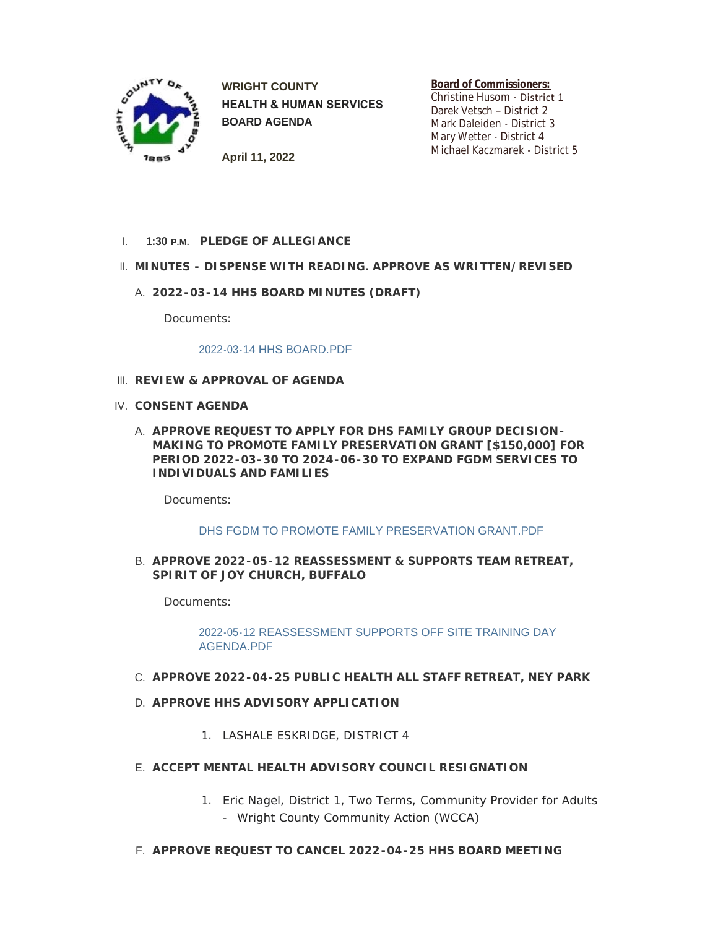

**WRIGHT COUNTY HEALTH & HUMAN SERVICES BOARD AGENDA**

**Board of Commissioners:** Christine Husom - District 1

Darek Vetsch – District 2 Mark Daleiden - District 3 Mary Wetter - District 4 Michael Kaczmarek - District 5

**April 11, 2022**

**PLEDGE OF ALLEGIANCE** I. **1:30 P.M.**

# **MINUTES - DISPENSE WITH READING. APPROVE AS WRITTEN/REVISED** II.

**2022-03-14 HHS BOARD MINUTES (DRAFT)** A.

Documents:

#### [2022-03-14 HHS BOARD.PDF](https://www.co.wright.mn.us/AgendaCenter/ViewFile/Item/10557?fileID=22914)

- **REVIEW & APPROVAL OF AGENDA** III.
- **CONSENT AGENDA** IV.
	- A. APPROVE REQUEST TO APPLY FOR DHS FAMILY GROUP DECISION-**MAKING TO PROMOTE FAMILY PRESERVATION GRANT [\$150,000] FOR PERIOD 2022-03-30 TO 2024-06-30 TO EXPAND FGDM SERVICES TO INDIVIDUALS AND FAMILIES**

Documents:

### [DHS FGDM TO PROMOTE FAMILY PRESERVATION GRANT.PDF](https://www.co.wright.mn.us/AgendaCenter/ViewFile/Item/10537?fileID=22907)

**APPROVE 2022-05-12 REASSESSMENT & SUPPORTS TEAM RETREAT,**  B. **SPIRIT OF JOY CHURCH, BUFFALO**

Documents:

[2022-05-12 REASSESSMENT SUPPORTS OFF SITE TRAINING DAY](https://www.co.wright.mn.us/AgendaCenter/ViewFile/Item/10558?fileID=22912)  AGENDA.PDF

### **APPROVE 2022-04-25 PUBLIC HEALTH ALL STAFF RETREAT, NEY PARK** C.

- **APPROVE HHS ADVISORY APPLICATION** D.
	- 1. LASHALE ESKRIDGE, DISTRICT 4
- **ACCEPT MENTAL HEALTH ADVISORY COUNCIL RESIGNATION** E.
	- 1. Eric Nagel, District 1, Two Terms, Community Provider for Adults - Wright County Community Action (WCCA)
- **APPROVE REQUEST TO CANCEL 2022-04-25 HHS BOARD MEETING** F.